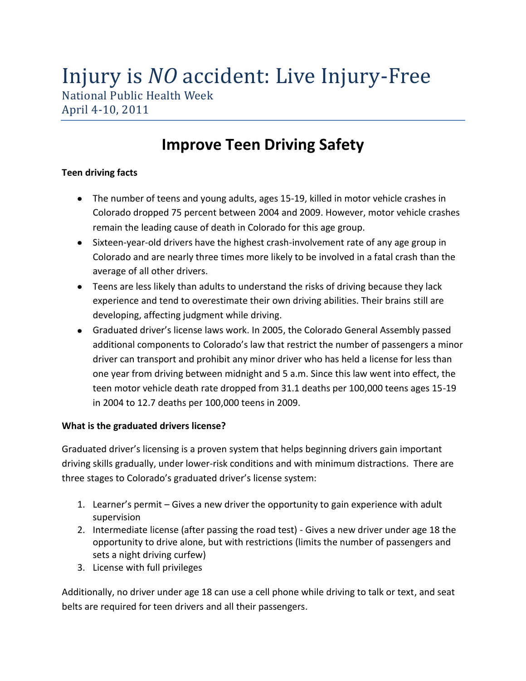# Injury is *NO* accident: Live Injury-Free

National Public Health Week April 4-10, 2011

# **Improve Teen Driving Safety**

## **Teen driving facts**

- The number of teens and young adults, ages 15-19, killed in motor vehicle crashes in Colorado dropped 75 percent between 2004 and 2009. However, motor vehicle crashes remain the leading cause of death in Colorado for this age group.
- Sixteen-year-old drivers have the highest crash-involvement rate of any age group in Colorado and are nearly three times more likely to be involved in a fatal crash than the average of all other drivers.
- Teens are less likely than adults to understand the risks of driving because they lack experience and tend to overestimate their own driving abilities. Their brains still are developing, affecting judgment while driving.
- Graduated driver's license laws work. In 2005, the Colorado General Assembly passed additional components to Colorado's law that restrict the number of passengers a minor driver can transport and prohibit any minor driver who has held a license for less than one year from driving between midnight and 5 a.m. Since this law went into effect, the teen motor vehicle death rate dropped from 31.1 deaths per 100,000 teens ages 15-19 in 2004 to 12.7 deaths per 100,000 teens in 2009.

## **What is the graduated drivers license?**

Graduated driver's licensing is a proven system that helps beginning drivers gain important driving skills gradually, under lower-risk conditions and with minimum distractions. There are three stages to Colorado's graduated driver's license system:

- 1. Learner's permit Gives a new driver the opportunity to gain experience with adult supervision
- 2. Intermediate license (after passing the road test) Gives a new driver under age 18 the opportunity to drive alone, but with restrictions (limits the number of passengers and sets a night driving curfew)
- 3. License with full privileges

Additionally, no driver under age 18 can use a cell phone while driving to talk or text, and seat belts are required for teen drivers and all their passengers.